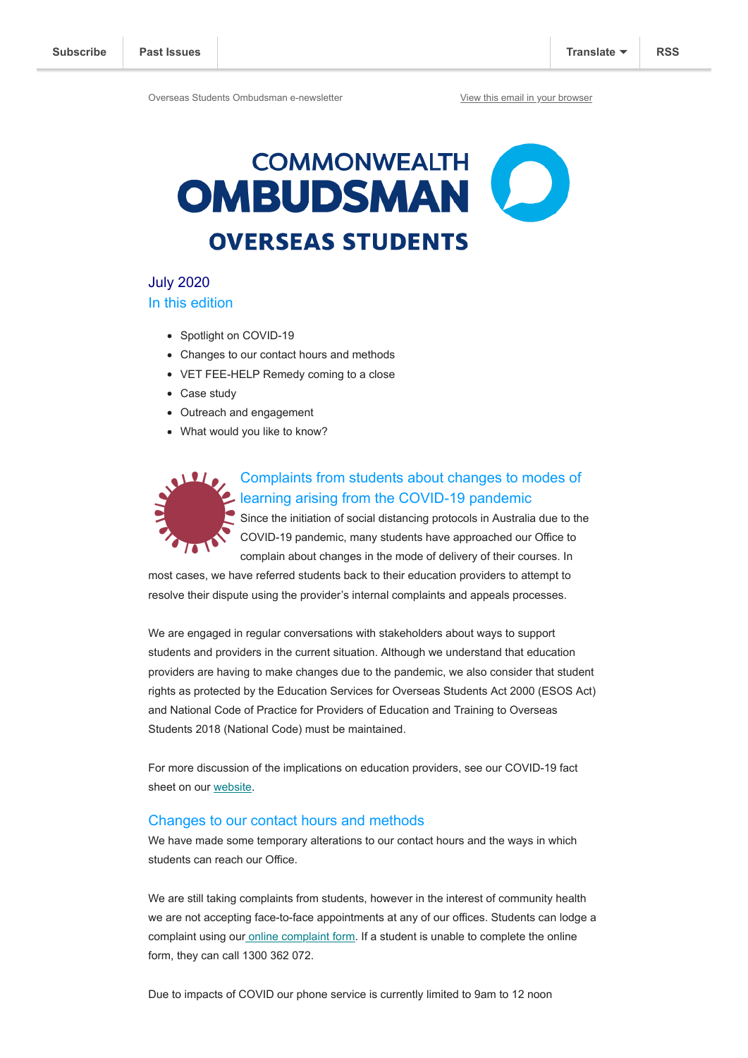Overseas Students Ombudsman e-newsletter [View this email in your browser](https://mailchi.mp/ombudsman/commonwealth-ombudsman-newsletter-overseas-students?e=73fa6ad295)

# **COMMONWEALTH** OMBUDSMAN<sup>(</sup> **OVERSEAS STUDENTS**

July 2020 In this edition

- Spotlight on COVID-19
- Changes to our contact hours and methods
- VET FEE-HELP Remedy coming to a close
- Case study
- Outreach and engagement
- What would you like to know?



# Complaints from students about changes to modes of learning arising from the COVID-19 pandemic

Since the initiation of social distancing protocols in Australia due to the COVID-19 pandemic, many students have approached our Office to complain about changes in the mode of delivery of their courses. In

most cases, we have referred students back to their education providers to attempt to resolve their dispute using the provider's internal complaints and appeals processes.

We are engaged in regular conversations with stakeholders about ways to support students and providers in the current situation. Although we understand that education providers are having to make changes due to the pandemic, we also consider that student rights as protected by the Education Services for Overseas Students Act 2000 (ESOS Act) and National Code of Practice for Providers of Education and Training to Overseas Students 2018 (National Code) must be maintained.

For more discussion of the implications on education providers, see our COVID-19 fact sheet on our [website](https://www.ombudsman.gov.au/__data/assets/pdf_file/0007/111130/OSO-COVID-19-Fact-Sheet-A1979548.pdf).

#### Changes to our contact hours and methods

We have made some temporary alterations to our contact hours and the ways in which students can reach our Office.

We are still taking complaints from students, however in the interest of community health we are not accepting face-to-face appointments at any of our offices. Students can lodge a complaint using ou[r online complaint form.](https://forms.business.gov.au/smartforms/servlet/SmartForm.html?formCode=oco-complaint-form) If a student is unable to complete the online form, they can call 1300 362 072.

Due to impacts of COVID our phone service is currently limited to 9am to 12 noon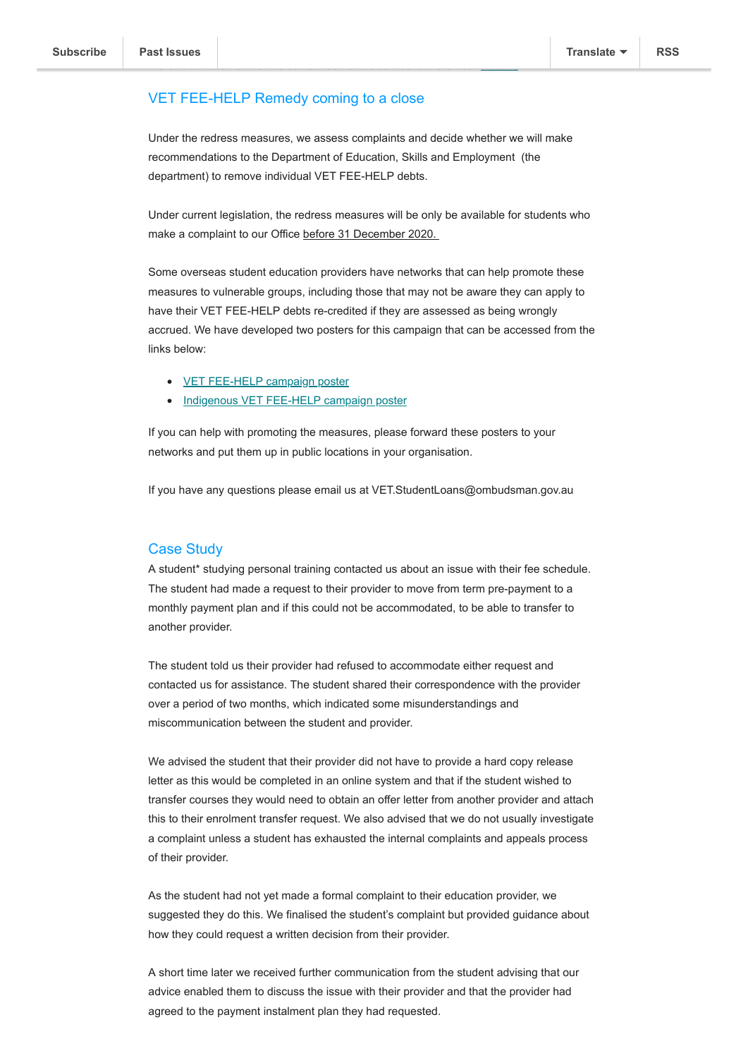### VET FEE-HELP Remedy coming to a close

Under the redress measures, we assess complaints and decide whether we will make recommendations to the Department of Education, Skills and Employment (the department) to remove individual VET FEE-HELP debts.

More information on how to contact our Office can be found on our [website](https://www.ombudsman.gov.au/contact).

Under current legislation, the redress measures will be only be available for students who make a complaint to our Office before 31 December 2020.

Some overseas student education providers have networks that can help promote these measures to vulnerable groups, including those that may not be aware they can apply to have their VET FEE-HELP debts re-credited if they are assessed as being wrongly accrued. We have developed two posters for this campaign that can be accessed from the links below:

- [VET FEE-HELP campaign poster](https://www.ombudsman.gov.au/__data/assets/pdf_file/0017/111059/VET-FEE-HELP-Poster-Design_Final.pdf)
- [Indigenous VET FEE-HELP campaign poster](https://www.ombudsman.gov.au/__data/assets/pdf_file/0016/111058/VSL-Indigenous-Artwork-Poster.pdf)

If you can help with promoting the measures, please forward these posters to your networks and put them up in public locations in your organisation.

If you have any questions please email us at VET.StudentLoans@ombudsman.gov.au

#### Case Study

A student\* studying personal training contacted us about an issue with their fee schedule. The student had made a request to their provider to move from term pre-payment to a monthly payment plan and if this could not be accommodated, to be able to transfer to another provider.

The student told us their provider had refused to accommodate either request and contacted us for assistance. The student shared their correspondence with the provider over a period of two months, which indicated some misunderstandings and miscommunication between the student and provider.

We advised the student that their provider did not have to provide a hard copy release letter as this would be completed in an online system and that if the student wished to transfer courses they would need to obtain an offer letter from another provider and attach this to their enrolment transfer request. We also advised that we do not usually investigate a complaint unless a student has exhausted the internal complaints and appeals process of their provider.

As the student had not yet made a formal complaint to their education provider, we suggested they do this. We finalised the student's complaint but provided guidance about how they could request a written decision from their provider.

A short time later we received further communication from the student advising that our advice enabled them to discuss the issue with their provider and that the provider had agreed to the payment instalment plan they had requested.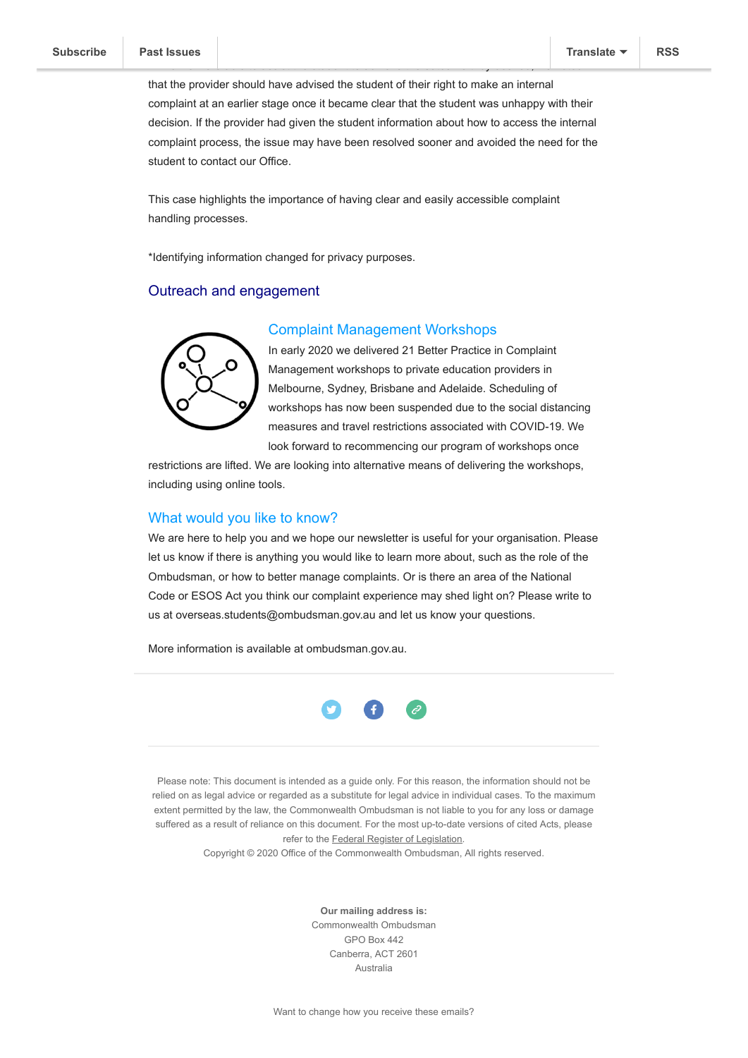that the provider should have advised the student of their right to make an internal complaint at an earlier stage once it became clear that the student was unhappy with their decision. If the provider had given the student information about how to access the internal complaint process, the issue may have been resolved sooner and avoided the need for the student to contact our Office.

While we were able to assist the student to achieve the outcome they desired, we noted

This case highlights the importance of having clear and easily accessible complaint handling processes.

\*Identifying information changed for privacy purposes.

## Outreach and engagement



#### Complaint Management Workshops

In early 2020 we delivered 21 Better Practice in Complaint Management workshops to private education providers in Melbourne, Sydney, Brisbane and Adelaide. Scheduling of workshops has now been suspended due to the social distancing measures and travel restrictions associated with COVID-19. We look forward to recommencing our program of workshops once

restrictions are lifted. We are looking into alternative means of delivering the workshops, including using online tools.

#### What would you like to know?

We are here to help you and we hope our newsletter is useful for your organisation. Please let us know if there is anything you would like to learn more about, such as the role of the Ombudsman, or how to better manage complaints. Or is there an area of the National Code or ESOS Act you think our complaint experience may shed light on? Please write to us at overseas.students@ombudsman.gov.au and let us know your questions.

More information is available at ombudsman.gov.au.



Please note: This document is intended as a guide only. For this reason, the information should not be relied on as legal advice or regarded as a substitute for legal advice in individual cases. To the maximum extent permitted by the law, the Commonwealth Ombudsman is not liable to you for any loss or damage suffered as a result of reliance on this document. For the most up-to-date versions of cited Acts, please refer to the [Federal Register of Legislation](https://www.legislation.gov.au/Browse/ByTitle/Acts/InForce/0/0/Principal).

Copyright © 2020 Office of the Commonwealth Ombudsman, All rights reserved.

**Our mailing address is:** Commonwealth Ombudsman GPO Box 442 Canberra, ACT 2601 Australia